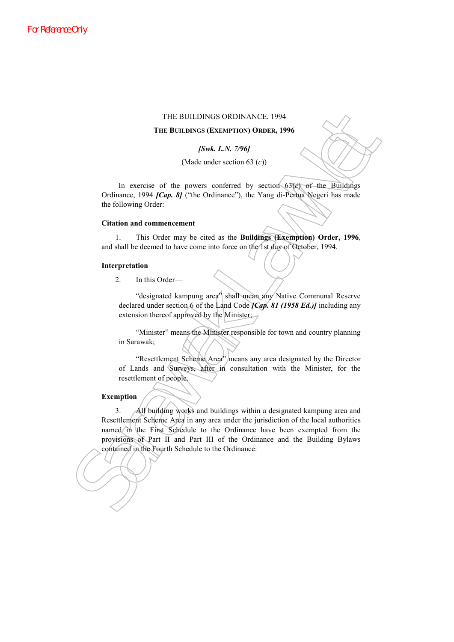#### THE BUILDINGS ORDINANCE, 1994

#### **THE BUILDINGS (EXEMPTION) ORDER, 1996**

*[Swk. L.N. 7/96]*

(Made under section 63 (*c*))

In exercise of the powers conferred by section 63(*c*) of the Buildings Ordinance, 1994 *[Cap. 8]* ("the Ordinance"), the Yang di-Pertua Negeri has made the following Order:

### **Citation and commencement**

1. This Order may be cited as the **Buildings (Exemption) Order, 1996**, and shall be deemed to have come into force on the 1st day of October, 1994.

## **Interpretation**

2. In this Order—

"designated kampung area" shall mean any Native Communal Reserve declared under section 6 of the Land Code *[Cap. 81 (1958 Ed.)]* including any extension thereof approved by the Minister;

"Minister" means the Minister responsible for town and country planning in Sarawak;

"Resettlement Scheme Area" means any area designated by the Director of Lands and Surveys, after in consultation with the Minister, for the resettlement of people.

# **Exemption**

**THE BUILDINGS ORDINANCE. 1994<br>
<b>THE BUILDINGS (EXENTITON)**<br> **Sare LAN.** 2796<br>
(Made under section 63 (c))<br>
(Made under section 63 (c))<br>
(Made under section 63 (c))<br>
(Made under section 63 (c))<br>
(Made under section 63 (c)) 3. All building works and buildings within a designated kampung area and Resettlement Scheme Area in any area under the jurisdiction of the local authorities named in the First Schedule to the Ordinance have been exempted from the provisions of Part II and Part III of the Ordinance and the Building Bylaws contained in the Fourth Schedule to the Ordinance: